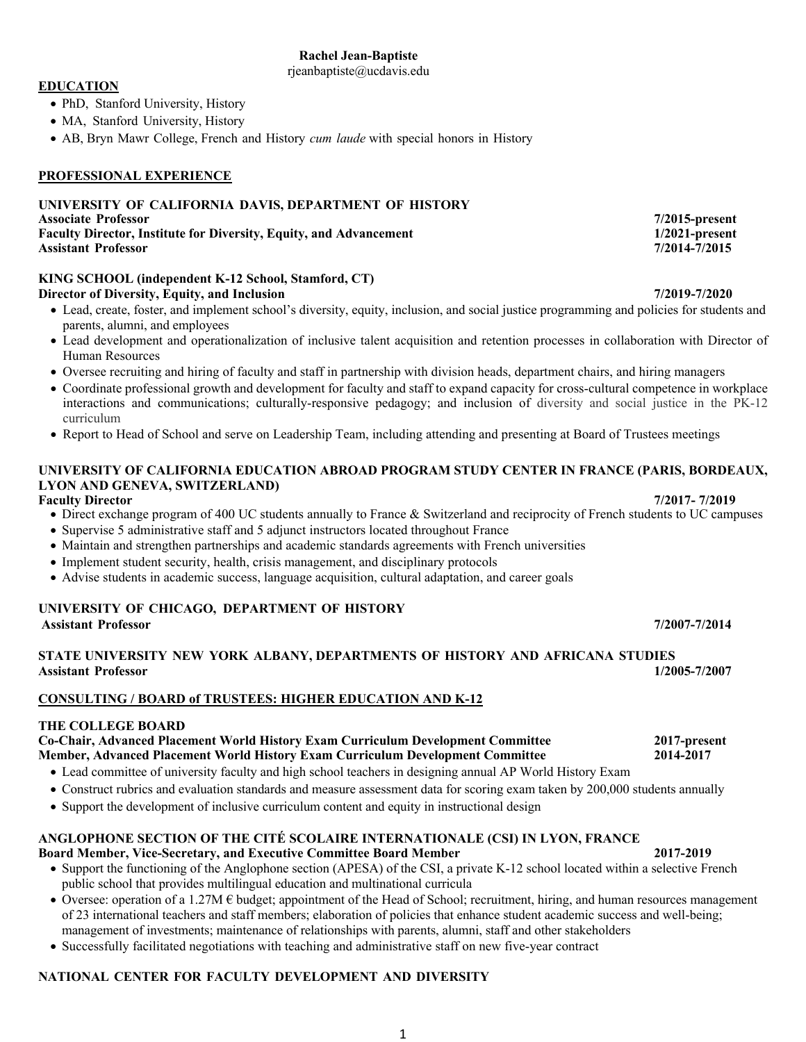# **Rachel Jean-Baptiste**

rjeanbaptiste@ucdavis.edu

# **EDUCATION**

- PhD, Stanford University, History
- MA, Stanford University, History
- AB, Bryn Mawr College, French and History *cum laude* with special honors in History

# **PROFESSIONAL EXPERIENCE**

#### **UNIVERSITY OF CALIFORNIA DAVIS, DEPARTMENT OF HISTORY Associate Professor 7/2015-present Faculty Director, Institute for Diversity, Equity, and Advancement 1/2021-present Assistant Professor 7/2014-7/2015**

#### **KING SCHOOL (independent K-12 School, Stamford, CT) Director of Diversity, Equity, and Inclusion 7/2019-7/2020**

- Lead, create, foster, and implement school's diversity, equity, inclusion, and social justice programming and policies for students and parents, alumni, and employees
- Lead development and operationalization of inclusive talent acquisition and retention processes in collaboration with Director of Human Resources
- Oversee recruiting and hiring of faculty and staff in partnership with division heads, department chairs, and hiring managers
- Coordinate professional growth and development for faculty and staff to expand capacity for cross-cultural competence in workplace interactions and communications; culturally-responsive pedagogy; and inclusion of diversity and social justice in the PK-12 curriculum
- Report to Head of School and serve on Leadership Team, including attending and presenting at Board of Trustees meetings

#### **UNIVERSITY OF CALIFORNIA EDUCATION ABROAD PROGRAM STUDY CENTER IN FRANCE (PARIS, BORDEAUX, LYON AND GENEVA, SWITZERLAND) Faculty Director 7/2017- 7/2019**

- Direct exchange program of 400 UC students annually to France & Switzerland and reciprocity of French students to UC campuses
- Supervise 5 administrative staff and 5 adjunct instructors located throughout France
- Maintain and strengthen partnerships and academic standards agreements with French universities
- Implement student security, health, crisis management, and disciplinary protocols
- Advise students in academic success, language acquisition, cultural adaptation, and career goals

#### **UNIVERSITY OF CHICAGO, DEPARTMENT OF HISTORY Assistant Professor 7/2007-7/2014**

# **STATE UNIVERSITY NEW YORK ALBANY, DEPARTMENTS OF HISTORY AND AFRICANA STUDIES Assistant Professor 1/2005-7/2007**

# **CONSULTING / BOARD of TRUSTEES: HIGHER EDUCATION AND K-12**

# **THE COLLEGE BOARD**

# **Co-Chair, Advanced Placement World History Exam Curriculum Development Committee 2017-present Member, Advanced Placement World History Exam Curriculum Development Committee 2014-2017**

- Lead committee of university faculty and high school teachers in designing annual AP World History Exam
- Construct rubrics and evaluation standards and measure assessment data for scoring exam taken by 200,000 students annually
- Support the development of inclusive curriculum content and equity in instructional design

## **ANGLOPHONE SECTION OF THE CITÉ SCOLAIRE INTERNATIONALE (CSI) IN LYON, FRANCE Board Member, Vice-Secretary, and Executive Committee Board Member 2017-2019**

- Support the functioning of the Anglophone section (APESA) of the CSI, a private K-12 school located within a selective French public school that provides multilingual education and multinational curricula
- Oversee: operation of a 1.27M  $\epsilon$  budget; appointment of the Head of School; recruitment, hiring, and human resources management of 23 international teachers and staff members; elaboration of policies that enhance student academic success and well-being; management of investments; maintenance of relationships with parents, alumni, staff and other stakeholders
- Successfully facilitated negotiations with teaching and administrative staff on new five-year contract

# **NATIONAL CENTER FOR FACULTY DEVELOPMENT AND DIVERSITY**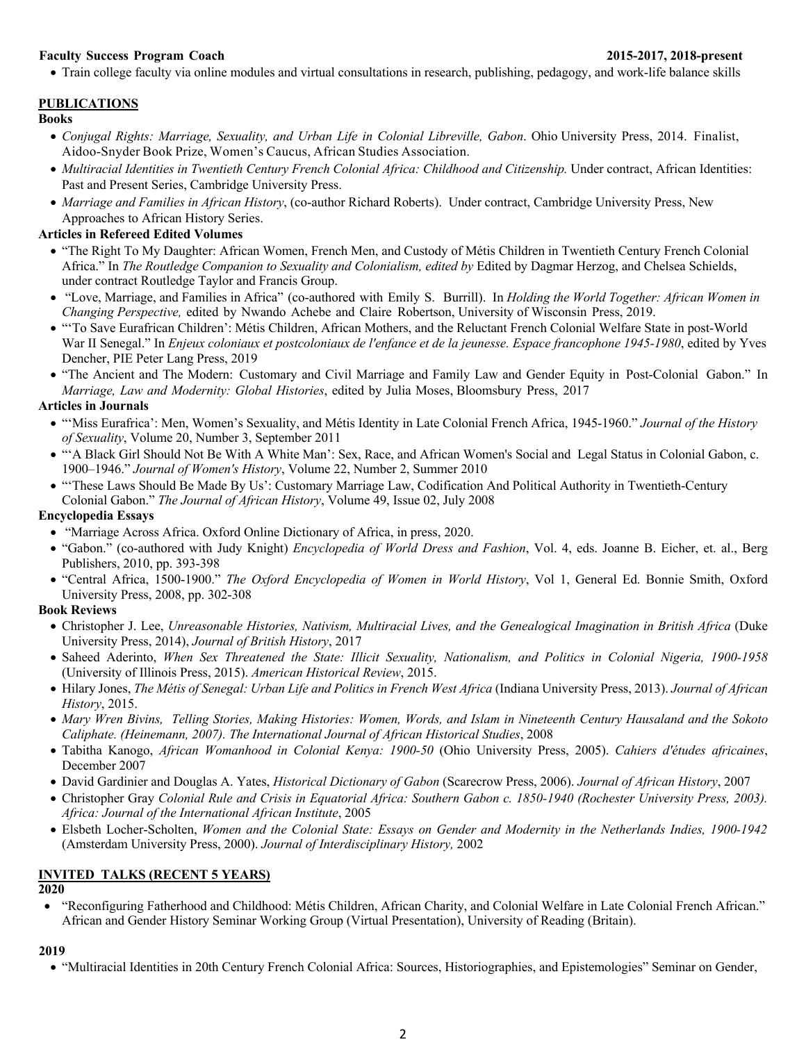### **Faculty Success Program Coach 2015-2017, 2018-present**

• Train college faculty via online modules and virtual consultations in research, publishing, pedagogy, and work-life balance skills

# **PUBLICATIONS**

#### **Books**

- *Conjugal Rights: Marriage, Sexuality, and Urban Life in Colonial Libreville, Gabon*. Ohio University Press, 2014. Finalist, Aidoo-Snyder Book Prize, Women's Caucus, African Studies Association.
- *Multiracial Identities in Twentieth Century French Colonial Africa: Childhood and Citizenship.* Under contract, African Identities: Past and Present Series, Cambridge University Press.
- *Marriage and Families in African History*, (co-author Richard Roberts). Under contract, Cambridge University Press, New Approaches to African History Series.

## **Articles in Refereed Edited Volumes**

- "The Right To My Daughter: African Women, French Men, and Custody of Métis Children in Twentieth Century French Colonial Africa." In *The Routledge Companion to Sexuality and Colonialism, edited by* Edited by Dagmar Herzog, and Chelsea Schields, under contract Routledge Taylor and Francis Group.
- "Love, Marriage, and Families in Africa" (co-authored with Emily S. Burrill). In *Holding the World Together: African Women in Changing Perspective,* edited by Nwando Achebe and Claire Robertson, University of Wisconsin Press, 2019.
- "'To Save Eurafrican Children': Métis Children, African Mothers, and the Reluctant French Colonial Welfare State in post-World War II Senegal." In *Enjeux coloniaux et postcoloniaux de l'enfance et de la jeunesse. Espace francophone 1945-1980*, edited by Yves Dencher, PIE Peter Lang Press, 2019
- "The Ancient and The Modern: Customary and Civil Marriage and Family Law and Gender Equity in Post-Colonial Gabon." In *Marriage, Law and Modernity: Global Histories*, edited by Julia Moses, Bloomsbury Press, 2017

## **Articles in Journals**

- "'Miss Eurafrica': Men, Women's Sexuality, and Métis Identity in Late Colonial French Africa, 1945-1960." *Journal of the History of Sexuality*, Volume 20, Number 3, September 2011
- "'A Black Girl Should Not Be With A White Man': Sex, Race, and African Women's Social and Legal Status in Colonial Gabon, c. 1900–1946." *Journal of Women's History*, Volume 22, Number 2, Summer 2010
- "'These Laws Should Be Made By Us': Customary Marriage Law, Codification And Political Authority in Twentieth-Century Colonial Gabon." *The Journal of African History*, Volume 49, Issue 02, July 2008

## **Encyclopedia Essays**

- "Marriage Across Africa. Oxford Online Dictionary of Africa, in press, 2020.
- "Gabon." (co-authored with Judy Knight) *Encyclopedia of World Dress and Fashion*, Vol. 4, eds. Joanne B. Eicher, et. al., Berg Publishers, 2010, pp. 393-398
- "Central Africa, 1500-1900." *The Oxford Encyclopedia of Women in World History*, Vol 1, General Ed. Bonnie Smith, Oxford University Press, 2008, pp. 302-308

#### **Book Reviews**

- Christopher J. Lee, *Unreasonable Histories, Nativism, Multiracial Lives, and the Genealogical Imagination in British Africa* (Duke University Press, 2014), *Journal of British History*, 2017
- Saheed Aderinto, *When Sex Threatened the State: Illicit Sexuality, Nationalism, and Politics in Colonial Nigeria, 1900-1958* (University of Illinois Press, 2015). *American Historical Review*, 2015.
- Hilary Jones, *The Métis of Senegal: Urban Life and Politics in French West Africa* (Indiana University Press, 2013). *Journal of African History*, 2015.
- *Mary Wren Bivins, Telling Stories, Making Histories: Women, Words, and Islam in Nineteenth Century Hausaland and the Sokoto Caliphate. (Heinemann, 2007). The International Journal of African Historical Studies*, 2008
- Tabitha Kanogo, *African Womanhood in Colonial Kenya: 1900-50* (Ohio University Press, 2005). *Cahiers d'études africaines*, December 2007
- David Gardinier and Douglas A. Yates, *Historical Dictionary of Gabon* (Scarecrow Press, 2006). *Journal of African History*, 2007
- Christopher Gray *Colonial Rule and Crisis in Equatorial Africa: Southern Gabon c. 1850-1940 (Rochester University Press, 2003). Africa: Journal of the International African Institute*, 2005
- Elsbeth Locher-Scholten, *Women and the Colonial State: Essays on Gender and Modernity in the Netherlands Indies, 1900-1942* (Amsterdam University Press, 2000). *Journal of Interdisciplinary History,* 2002

# **INVITED TALKS (RECENT 5 YEARS)**

# **2020**

• "Reconfiguring Fatherhood and Childhood: Métis Children, African Charity, and Colonial Welfare in Late Colonial French African." African and Gender History Seminar Working Group (Virtual Presentation), University of Reading (Britain).

#### **2019**

• "Multiracial Identities in 20th Century French Colonial Africa: Sources, Historiographies, and Epistemologies" Seminar on Gender,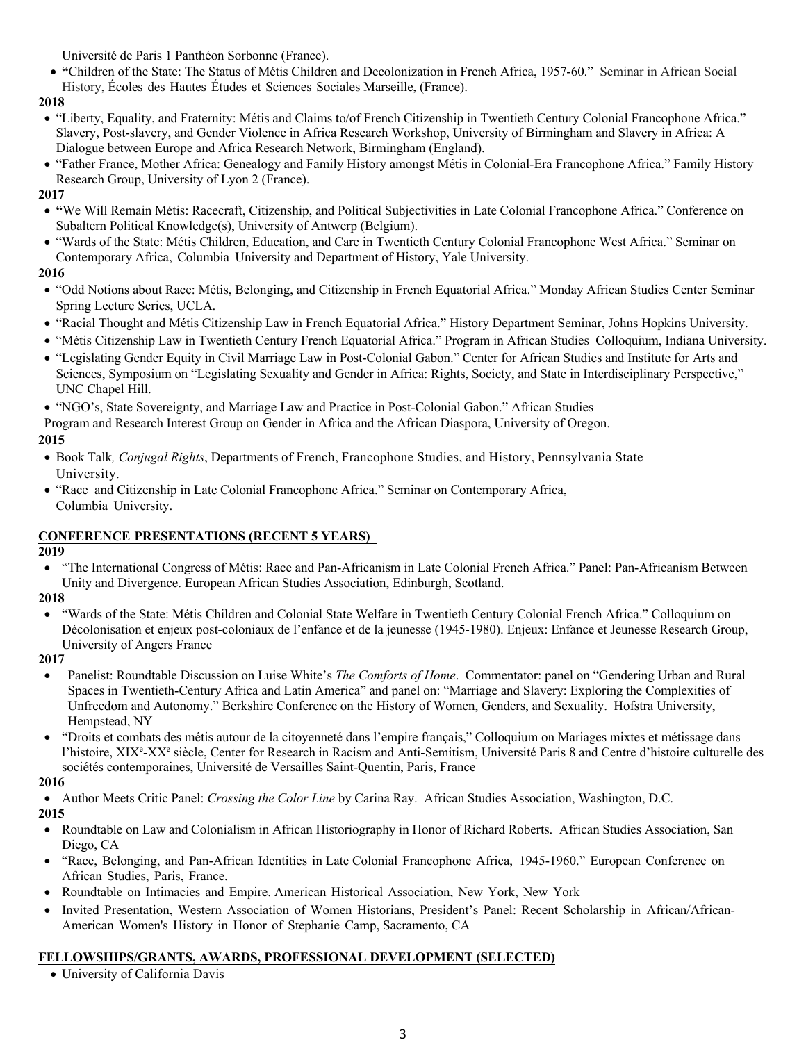Université de Paris 1 Panthéon Sorbonne (France).

• **"**Children of the State: The Status of Métis Children and Decolonization in French Africa, 1957-60." Seminar in African Social History, Écoles des Hautes Études et Sciences Sociales Marseille, (France).

## **2018**

- "Liberty, Equality, and Fraternity: Métis and Claims to/of French Citizenship in Twentieth Century Colonial Francophone Africa." Slavery, Post-slavery, and Gender Violence in Africa Research Workshop, University of Birmingham and Slavery in Africa: A Dialogue between Europe and Africa Research Network, Birmingham (England).
- "Father France, Mother Africa: Genealogy and Family History amongst Métis in Colonial-Era Francophone Africa." Family History Research Group, University of Lyon 2 (France).

### **2017**

- **"**We Will Remain Métis: Racecraft, Citizenship, and Political Subjectivities in Late Colonial Francophone Africa." Conference on Subaltern Political Knowledge(s), University of Antwerp (Belgium).
- "Wards of the State: Métis Children, Education, and Care in Twentieth Century Colonial Francophone West Africa." Seminar on Contemporary Africa, Columbia University and Department of History, Yale University.

# **2016**

- "Odd Notions about Race: Métis, Belonging, and Citizenship in French Equatorial Africa." Monday African Studies Center Seminar Spring Lecture Series, UCLA.
- "Racial Thought and Métis Citizenship Law in French Equatorial Africa." History Department Seminar, Johns Hopkins University.
- "Métis Citizenship Law in Twentieth Century French Equatorial Africa." Program in African Studies Colloquium, Indiana University.
- "Legislating Gender Equity in Civil Marriage Law in Post-Colonial Gabon." Center for African Studies and Institute for Arts and Sciences, Symposium on "Legislating Sexuality and Gender in Africa: Rights, Society, and State in Interdisciplinary Perspective," UNC Chapel Hill.
- "NGO's, State Sovereignty, and Marriage Law and Practice in Post-Colonial Gabon." African Studies

Program and Research Interest Group on Gender in Africa and the African Diaspora, University of Oregon.

# **2015**

- Book Talk*, Conjugal Rights*, Departments of French, Francophone Studies, and History, Pennsylvania State University.
- "Race and Citizenship in Late Colonial Francophone Africa." Seminar on Contemporary Africa, Columbia University.

# **CONFERENCE PRESENTATIONS (RECENT 5 YEARS)**

#### **2019**

• "The International Congress of Métis: Race and Pan-Africanism in Late Colonial French Africa." Panel: Pan-Africanism Between Unity and Divergence. European African Studies Association, Edinburgh, Scotland.

#### **2018**

• "Wards of the State: Métis Children and Colonial State Welfare in Twentieth Century Colonial French Africa." Colloquium on Décolonisation et enjeux post-coloniaux de l'enfance et de la jeunesse (1945-1980). Enjeux: Enfance et Jeunesse Research Group, University of Angers France

#### **2017**

- Panelist: Roundtable Discussion on Luise White's *The Comforts of Home*. Commentator: panel on "Gendering Urban and Rural Spaces in Twentieth-Century Africa and Latin America" and panel on: "Marriage and Slavery: Exploring the Complexities of Unfreedom and Autonomy." Berkshire Conference on the History of Women, Genders, and Sexuality. Hofstra University, Hempstead, NY
- "Droits et combats des métis autour de la citoyenneté dans l'empire français," Colloquium on Mariages mixtes et métissage dans l'histoire, XIX<sup>e</sup>-XX<sup>e</sup> siècle, Center for Research in Racism and Anti-Semitism, Université Paris 8 and Centre d'histoire culturelle des sociétés contemporaines, Université de Versailles Saint-Quentin, Paris, France

# **2016**

• Author Meets Critic Panel: *Crossing the Color Line* by Carina Ray. African Studies Association, Washington, D.C.

# **2015**

- Roundtable on Law and Colonialism in African Historiography in Honor of Richard Roberts. African Studies Association, San Diego, CA
- "Race, Belonging, and Pan-African Identities in Late Colonial Francophone Africa, 1945-1960." European Conference on African Studies, Paris, France.
- Roundtable on Intimacies and Empire. American Historical Association, New York, New York
- Invited Presentation, Western Association of Women Historians, President's Panel: Recent Scholarship in African/African-American Women's History in Honor of Stephanie Camp, Sacramento, CA

# **FELLOWSHIPS/GRANTS, AWARDS, PROFESSIONAL DEVELOPMENT (SELECTED)**

• University of California Davis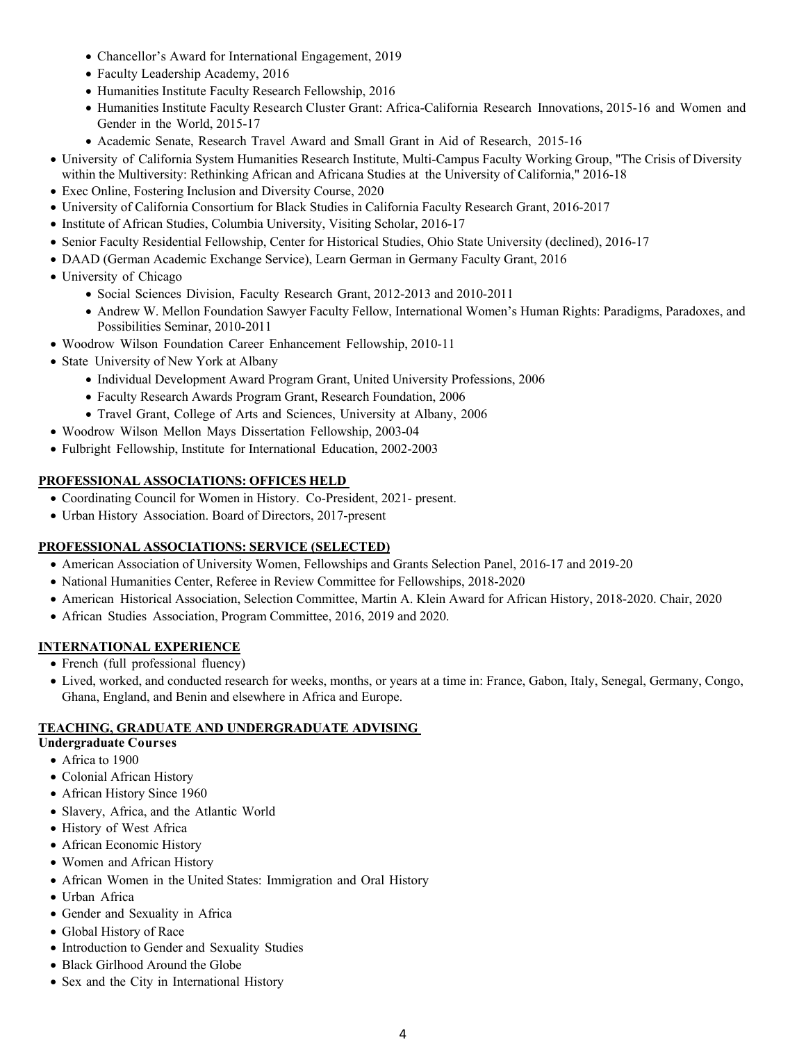- Chancellor's Award for International Engagement, 2019
- Faculty Leadership Academy, 2016
- Humanities Institute Faculty Research Fellowship, 2016
- Humanities Institute Faculty Research Cluster Grant: Africa-California Research Innovations, 2015-16 and Women and Gender in the World, 2015-17
- Academic Senate, Research Travel Award and Small Grant in Aid of Research, 2015-16
- University of California System Humanities Research Institute, Multi-Campus Faculty Working Group, "The Crisis of Diversity
	- within the Multiversity: Rethinking African and Africana Studies at the University of California," 2016-18
- Exec Online, Fostering Inclusion and Diversity Course, 2020
- University of California Consortium for Black Studies in California Faculty Research Grant, 2016-2017
- Institute of African Studies, Columbia University, Visiting Scholar, 2016-17
- Senior Faculty Residential Fellowship, Center for Historical Studies, Ohio State University (declined), 2016-17
- DAAD (German Academic Exchange Service), Learn German in Germany Faculty Grant, 2016
- University of Chicago
	- Social Sciences Division, Faculty Research Grant, 2012-2013 and 2010-2011
	- Andrew W. Mellon Foundation Sawyer Faculty Fellow, International Women's Human Rights: Paradigms, Paradoxes, and Possibilities Seminar, 2010-2011
- Woodrow Wilson Foundation Career Enhancement Fellowship, 2010-11
- State University of New York at Albany
	- Individual Development Award Program Grant, United University Professions, 2006
	- Faculty Research Awards Program Grant, Research Foundation, 2006
	- Travel Grant, College of Arts and Sciences, University at Albany, 2006
- Woodrow Wilson Mellon Mays Dissertation Fellowship, 2003-04
- Fulbright Fellowship, Institute for International Education, 2002-2003

## **PROFESSIONAL ASSOCIATIONS: OFFICES HELD**

- Coordinating Council for Women in History. Co-President, 2021- present.
- Urban History Association. Board of Directors, 2017-present

# **PROFESSIONAL ASSOCIATIONS: SERVICE (SELECTED)**

- American Association of University Women, Fellowships and Grants Selection Panel, 2016-17 and 2019-20
- National Humanities Center, Referee in Review Committee for Fellowships, 2018-2020
- American Historical Association, Selection Committee, Martin A. Klein Award for African History, 2018-2020. Chair, 2020
- African Studies Association, Program Committee, 2016, 2019 and 2020.

# **INTERNATIONAL EXPERIENCE**

- French (full professional fluency)
- Lived, worked, and conducted research for weeks, months, or years at a time in: France, Gabon, Italy, Senegal, Germany, Congo, Ghana, England, and Benin and elsewhere in Africa and Europe.

### **TEACHING, GRADUATE AND UNDERGRADUATE ADVISING**

#### **Undergraduate Courses**

- Africa to 1900
- Colonial African History
- African History Since 1960
- Slavery, Africa, and the Atlantic World
- History of West Africa
- African Economic History
- Women and African History
- African Women in the United States: Immigration and Oral History
- Urban Africa
- Gender and Sexuality in Africa
- Global History of Race
- Introduction to Gender and Sexuality Studies
- Black Girlhood Around the Globe
- Sex and the City in International History